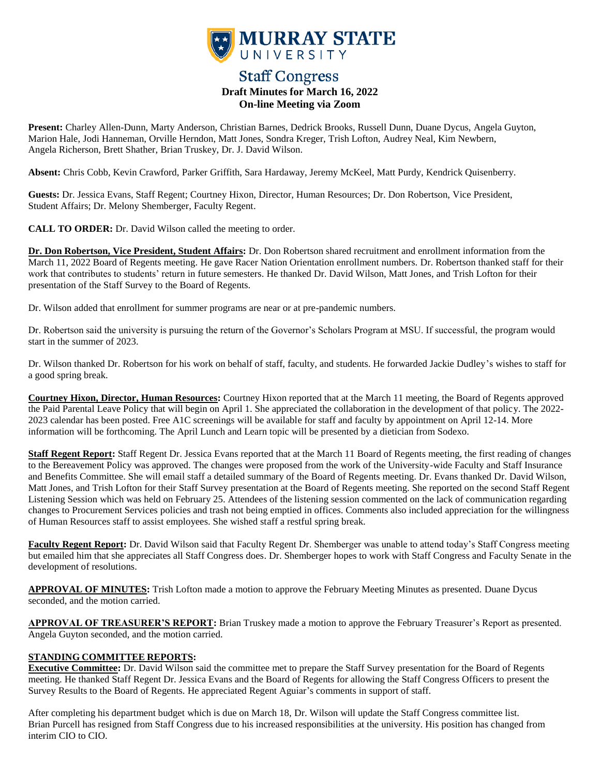

# **Staff Congress Draft Minutes for March 16, 2022 On-line Meeting via Zoom**

**Present:** Charley Allen-Dunn, Marty Anderson, Christian Barnes, Dedrick Brooks, Russell Dunn, Duane Dycus, Angela Guyton, Marion Hale, Jodi Hanneman, Orville Herndon, Matt Jones, Sondra Kreger, Trish Lofton, Audrey Neal, Kim Newbern, Angela Richerson, Brett Shather, Brian Truskey, Dr. J. David Wilson.

**Absent:** Chris Cobb, Kevin Crawford, Parker Griffith, Sara Hardaway, Jeremy McKeel, Matt Purdy, Kendrick Quisenberry.

**Guests:** Dr. Jessica Evans, Staff Regent; Courtney Hixon, Director, Human Resources; Dr. Don Robertson, Vice President, Student Affairs; Dr. Melony Shemberger, Faculty Regent.

**CALL TO ORDER:** Dr. David Wilson called the meeting to order.

**Dr. Don Robertson, Vice President, Student Affairs:** Dr. Don Robertson shared recruitment and enrollment information from the March 11, 2022 Board of Regents meeting. He gave Racer Nation Orientation enrollment numbers. Dr. Robertson thanked staff for their work that contributes to students' return in future semesters. He thanked Dr. David Wilson, Matt Jones, and Trish Lofton for their presentation of the Staff Survey to the Board of Regents.

Dr. Wilson added that enrollment for summer programs are near or at pre-pandemic numbers.

Dr. Robertson said the university is pursuing the return of the Governor's Scholars Program at MSU. If successful, the program would start in the summer of 2023.

Dr. Wilson thanked Dr. Robertson for his work on behalf of staff, faculty, and students. He forwarded Jackie Dudley's wishes to staff for a good spring break.

**Courtney Hixon, Director, Human Resources:** Courtney Hixon reported that at the March 11 meeting, the Board of Regents approved the Paid Parental Leave Policy that will begin on April 1. She appreciated the collaboration in the development of that policy. The 2022- 2023 calendar has been posted. Free A1C screenings will be available for staff and faculty by appointment on April 12-14. More information will be forthcoming. The April Lunch and Learn topic will be presented by a dietician from Sodexo.

**Staff Regent Report:** Staff Regent Dr. Jessica Evans reported that at the March 11 Board of Regents meeting, the first reading of changes to the Bereavement Policy was approved. The changes were proposed from the work of the University-wide Faculty and Staff Insurance and Benefits Committee. She will email staff a detailed summary of the Board of Regents meeting. Dr. Evans thanked Dr. David Wilson, Matt Jones, and Trish Lofton for their Staff Survey presentation at the Board of Regents meeting. She reported on the second Staff Regent Listening Session which was held on February 25. Attendees of the listening session commented on the lack of communication regarding changes to Procurement Services policies and trash not being emptied in offices. Comments also included appreciation for the willingness of Human Resources staff to assist employees. She wished staff a restful spring break.

**Faculty Regent Report:** Dr. David Wilson said that Faculty Regent Dr. Shemberger was unable to attend today's Staff Congress meeting but emailed him that she appreciates all Staff Congress does. Dr. Shemberger hopes to work with Staff Congress and Faculty Senate in the development of resolutions.

**APPROVAL OF MINUTES:** Trish Lofton made a motion to approve the February Meeting Minutes as presented. Duane Dycus seconded, and the motion carried.

**APPROVAL OF TREASURER'S REPORT:** Brian Truskey made a motion to approve the February Treasurer's Report as presented. Angela Guyton seconded, and the motion carried.

# **STANDING COMMITTEE REPORTS:**

**Executive Committee:** Dr. David Wilson said the committee met to prepare the Staff Survey presentation for the Board of Regents meeting. He thanked Staff Regent Dr. Jessica Evans and the Board of Regents for allowing the Staff Congress Officers to present the Survey Results to the Board of Regents. He appreciated Regent Aguiar's comments in support of staff.

After completing his department budget which is due on March 18, Dr. Wilson will update the Staff Congress committee list. Brian Purcell has resigned from Staff Congress due to his increased responsibilities at the university. His position has changed from interim CIO to CIO.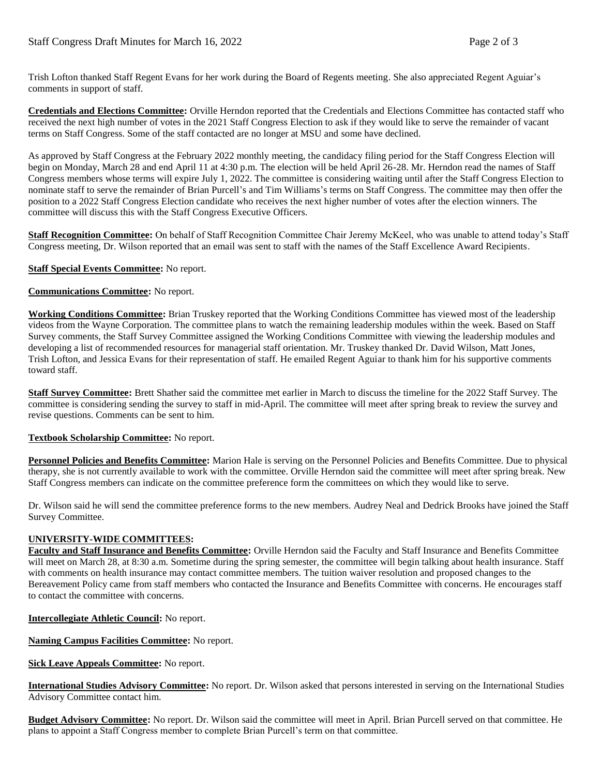Trish Lofton thanked Staff Regent Evans for her work during the Board of Regents meeting. She also appreciated Regent Aguiar's comments in support of staff.

**Credentials and Elections Committee:** Orville Herndon reported that the Credentials and Elections Committee has contacted staff who received the next high number of votes in the 2021 Staff Congress Election to ask if they would like to serve the remainder of vacant terms on Staff Congress. Some of the staff contacted are no longer at MSU and some have declined.

As approved by Staff Congress at the February 2022 monthly meeting, the candidacy filing period for the Staff Congress Election will begin on Monday, March 28 and end April 11 at 4:30 p.m. The election will be held April 26-28. Mr. Herndon read the names of Staff Congress members whose terms will expire July 1, 2022. The committee is considering waiting until after the Staff Congress Election to nominate staff to serve the remainder of Brian Purcell's and Tim Williams's terms on Staff Congress. The committee may then offer the position to a 2022 Staff Congress Election candidate who receives the next higher number of votes after the election winners. The committee will discuss this with the Staff Congress Executive Officers.

**Staff Recognition Committee:** On behalf of Staff Recognition Committee Chair Jeremy McKeel, who was unable to attend today's Staff Congress meeting, Dr. Wilson reported that an email was sent to staff with the names of the Staff Excellence Award Recipients.

## **Staff Special Events Committee:** No report.

## **Communications Committee:** No report.

**Working Conditions Committee:** Brian Truskey reported that the Working Conditions Committee has viewed most of the leadership videos from the Wayne Corporation. The committee plans to watch the remaining leadership modules within the week. Based on Staff Survey comments, the Staff Survey Committee assigned the Working Conditions Committee with viewing the leadership modules and developing a list of recommended resources for managerial staff orientation. Mr. Truskey thanked Dr. David Wilson, Matt Jones, Trish Lofton, and Jessica Evans for their representation of staff. He emailed Regent Aguiar to thank him for his supportive comments toward staff.

**Staff Survey Committee:** Brett Shather said the committee met earlier in March to discuss the timeline for the 2022 Staff Survey. The committee is considering sending the survey to staff in mid-April. The committee will meet after spring break to review the survey and revise questions. Comments can be sent to him.

# **Textbook Scholarship Committee:** No report.

Personnel Policies and Benefits Committee: Marion Hale is serving on the Personnel Policies and Benefits Committee. Due to physical therapy, she is not currently available to work with the committee. Orville Herndon said the committee will meet after spring break. New Staff Congress members can indicate on the committee preference form the committees on which they would like to serve.

Dr. Wilson said he will send the committee preference forms to the new members. Audrey Neal and Dedrick Brooks have joined the Staff Survey Committee.

# **UNIVERSITY-WIDE COMMITTEES:**

**Faculty and Staff Insurance and Benefits Committee:** Orville Herndon said the Faculty and Staff Insurance and Benefits Committee will meet on March 28, at 8:30 a.m. Sometime during the spring semester, the committee will begin talking about health insurance. Staff with comments on health insurance may contact committee members. The tuition waiver resolution and proposed changes to the Bereavement Policy came from staff members who contacted the Insurance and Benefits Committee with concerns. He encourages staff to contact the committee with concerns.

**Intercollegiate Athletic Council:** No report.

**Naming Campus Facilities Committee:** No report.

**Sick Leave Appeals Committee:** No report.

**International Studies Advisory Committee:** No report. Dr. Wilson asked that persons interested in serving on the International Studies Advisory Committee contact him.

**Budget Advisory Committee:** No report. Dr. Wilson said the committee will meet in April. Brian Purcell served on that committee. He plans to appoint a Staff Congress member to complete Brian Purcell's term on that committee.